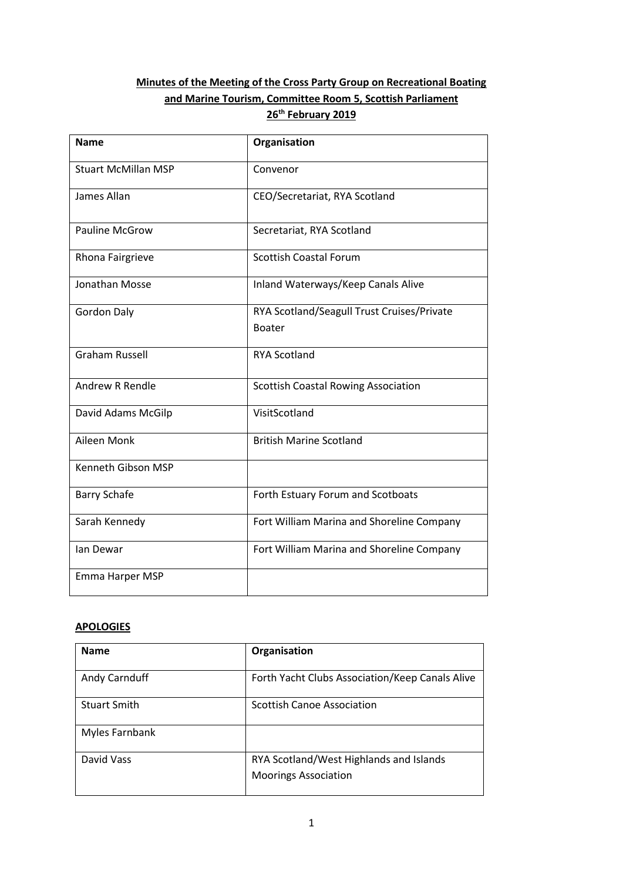# **Minutes of the Meeting of the Cross Party Group on Recreational Boating and Marine Tourism, Committee Room 5, Scottish Parliament 26th February 2019**

| <b>Name</b>                | Organisation                                                |
|----------------------------|-------------------------------------------------------------|
| <b>Stuart McMillan MSP</b> | Convenor                                                    |
| James Allan                | CEO/Secretariat, RYA Scotland                               |
| <b>Pauline McGrow</b>      | Secretariat, RYA Scotland                                   |
| Rhona Fairgrieve           | <b>Scottish Coastal Forum</b>                               |
| Jonathan Mosse             | Inland Waterways/Keep Canals Alive                          |
| <b>Gordon Daly</b>         | RYA Scotland/Seagull Trust Cruises/Private<br><b>Boater</b> |
| <b>Graham Russell</b>      | <b>RYA Scotland</b>                                         |
| <b>Andrew R Rendle</b>     | <b>Scottish Coastal Rowing Association</b>                  |
| David Adams McGilp         | VisitScotland                                               |
| Aileen Monk                | <b>British Marine Scotland</b>                              |
| Kenneth Gibson MSP         |                                                             |
| <b>Barry Schafe</b>        | Forth Estuary Forum and Scotboats                           |
| Sarah Kennedy              | Fort William Marina and Shoreline Company                   |
| lan Dewar                  | Fort William Marina and Shoreline Company                   |
| Emma Harper MSP            |                                                             |

### **APOLOGIES**

| <b>Name</b>         | Organisation                                    |
|---------------------|-------------------------------------------------|
| Andy Carnduff       | Forth Yacht Clubs Association/Keep Canals Alive |
| <b>Stuart Smith</b> | <b>Scottish Canoe Association</b>               |
| Myles Farnbank      |                                                 |
| David Vass          | RYA Scotland/West Highlands and Islands         |
|                     | <b>Moorings Association</b>                     |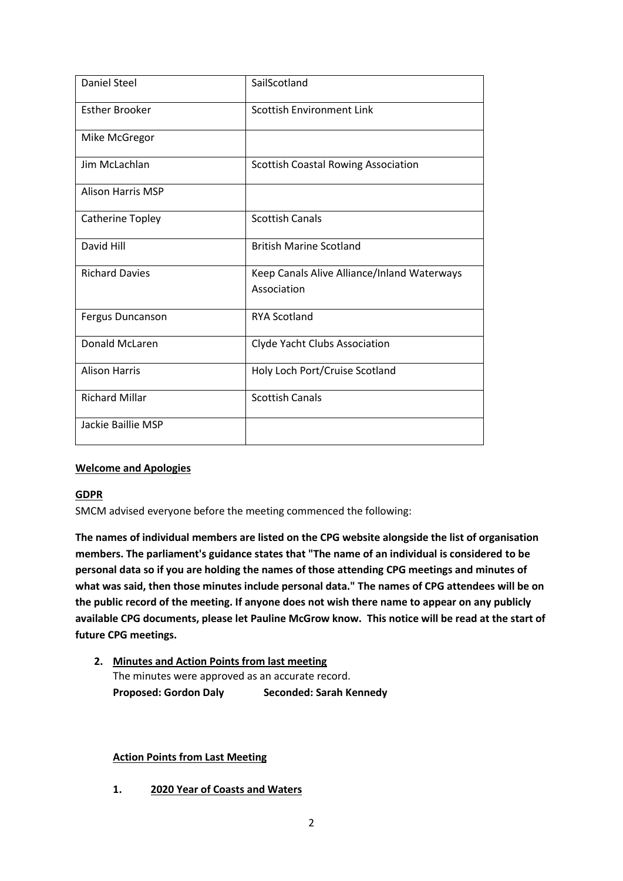| <b>Daniel Steel</b>      | SailScotland                                               |
|--------------------------|------------------------------------------------------------|
| <b>Esther Brooker</b>    | <b>Scottish Environment Link</b>                           |
| Mike McGregor            |                                                            |
| Jim McLachlan            | <b>Scottish Coastal Rowing Association</b>                 |
| <b>Alison Harris MSP</b> |                                                            |
| Catherine Topley         | <b>Scottish Canals</b>                                     |
| David Hill               | <b>British Marine Scotland</b>                             |
| <b>Richard Davies</b>    | Keep Canals Alive Alliance/Inland Waterways<br>Association |
| Fergus Duncanson         | <b>RYA Scotland</b>                                        |
| <b>Donald McLaren</b>    | Clyde Yacht Clubs Association                              |
| <b>Alison Harris</b>     | Holy Loch Port/Cruise Scotland                             |
| <b>Richard Millar</b>    | <b>Scottish Canals</b>                                     |
| Jackie Baillie MSP       |                                                            |

#### **Welcome and Apologies**

#### **GDPR**

SMCM advised everyone before the meeting commenced the following:

**The names of individual members are listed on the CPG website alongside the list of organisation members. The parliament's guidance states that "The name of an individual is considered to be personal data so if you are holding the names of those attending CPG meetings and minutes of what was said, then those minutes include personal data." The names of CPG attendees will be on the public record of the meeting. If anyone does not wish there name to appear on any publicly available CPG documents, please let Pauline McGrow know. This notice will be read at the start of future CPG meetings.**

**2. Minutes and Action Points from last meeting** The minutes were approved as an accurate record. **Proposed: Gordon Daly Seconded: Sarah Kennedy**

#### **Action Points from Last Meeting**

**1. 2020 Year of Coasts and Waters**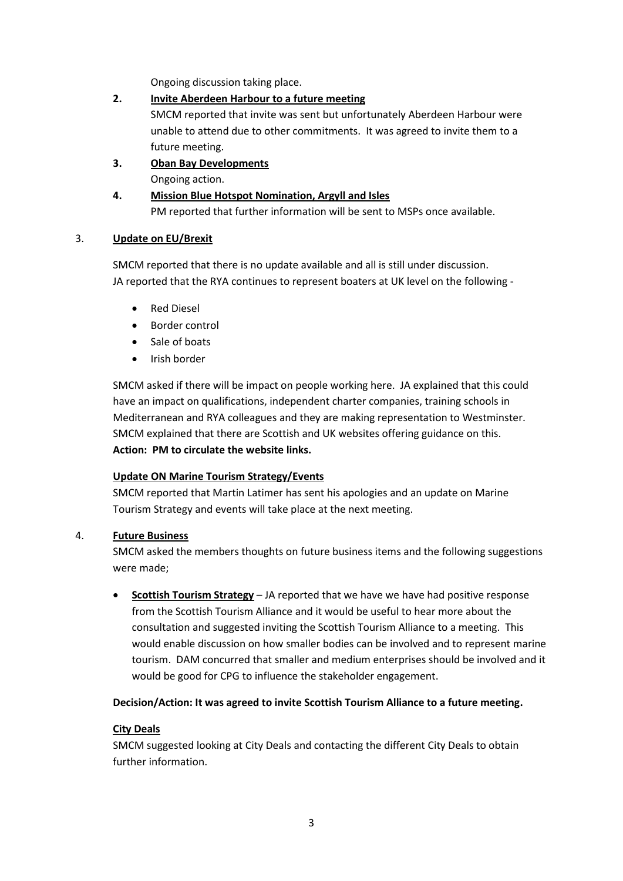Ongoing discussion taking place.

# **2. Invite Aberdeen Harbour to a future meeting**

SMCM reported that invite was sent but unfortunately Aberdeen Harbour were unable to attend due to other commitments. It was agreed to invite them to a future meeting.

**3. Oban Bay Developments** Ongoing action.

# **4. Mission Blue Hotspot Nomination, Argyll and Isles** PM reported that further information will be sent to MSPs once available.

## 3. **Update on EU/Brexit**

SMCM reported that there is no update available and all is still under discussion. JA reported that the RYA continues to represent boaters at UK level on the following -

- Red Diesel
- Border control
- Sale of boats
- Irish border

SMCM asked if there will be impact on people working here. JA explained that this could have an impact on qualifications, independent charter companies, training schools in Mediterranean and RYA colleagues and they are making representation to Westminster. SMCM explained that there are Scottish and UK websites offering guidance on this. **Action: PM to circulate the website links.**

## **Update ON Marine Tourism Strategy/Events**

SMCM reported that Martin Latimer has sent his apologies and an update on Marine Tourism Strategy and events will take place at the next meeting.

## 4. **Future Business**

SMCM asked the members thoughts on future business items and the following suggestions were made;

 **Scottish Tourism Strategy** – JA reported that we have we have had positive response from the Scottish Tourism Alliance and it would be useful to hear more about the consultation and suggested inviting the Scottish Tourism Alliance to a meeting. This would enable discussion on how smaller bodies can be involved and to represent marine tourism. DAM concurred that smaller and medium enterprises should be involved and it would be good for CPG to influence the stakeholder engagement.

## **Decision/Action: It was agreed to invite Scottish Tourism Alliance to a future meeting.**

## **City Deals**

SMCM suggested looking at City Deals and contacting the different City Deals to obtain further information.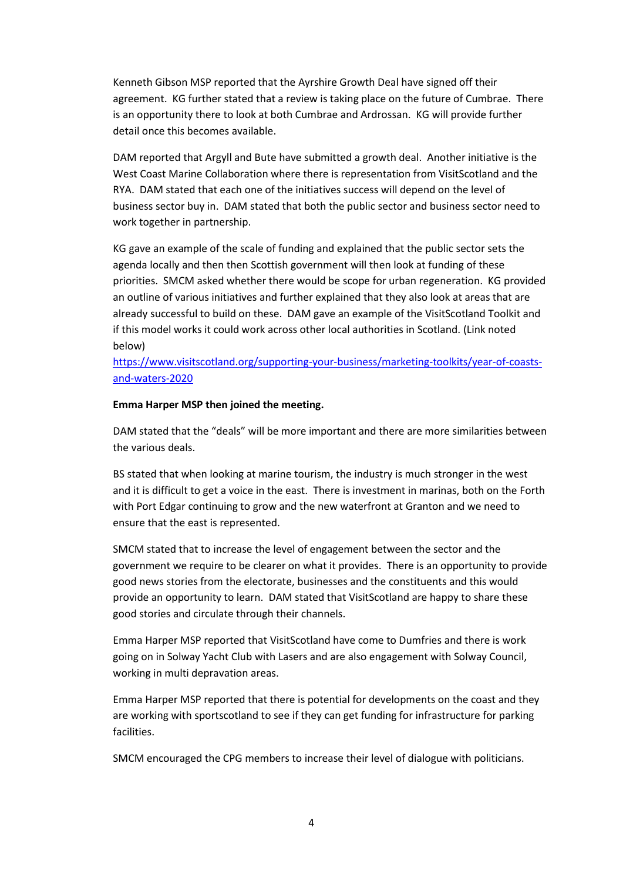Kenneth Gibson MSP reported that the Ayrshire Growth Deal have signed off their agreement. KG further stated that a review is taking place on the future of Cumbrae. There is an opportunity there to look at both Cumbrae and Ardrossan. KG will provide further detail once this becomes available.

DAM reported that Argyll and Bute have submitted a growth deal. Another initiative is the West Coast Marine Collaboration where there is representation from VisitScotland and the RYA. DAM stated that each one of the initiatives success will depend on the level of business sector buy in. DAM stated that both the public sector and business sector need to work together in partnership.

KG gave an example of the scale of funding and explained that the public sector sets the agenda locally and then then Scottish government will then look at funding of these priorities. SMCM asked whether there would be scope for urban regeneration. KG provided an outline of various initiatives and further explained that they also look at areas that are already successful to build on these. DAM gave an example of the VisitScotland Toolkit and if this model works it could work across other local authorities in Scotland. (Link noted below)

[https://www.visitscotland.org/supporting-your-business/marketing-toolkits/year-of-coasts](https://url6.mailanyone.net/v1/?m=1hQ81Q-000O4G-4C&i=57e1b682&c=EUwowGXurEgIv8j7sFt-JZ-x8oWUjKHiR-zitrKGnfYrdsauqGgcWgQCwqIaveKqgK_0jFvKtHJ1nFozWYB0CKdg1lwapWfxboPFkJbn4Rl39e818mQf7BORVN4LerKoowDoa0Z6WBcTg4ZsBsOvamD7W6yeKBzlT1nyfDUa1aKeDDQ2EHuAR3wtIDO3WeOZk66CMpr-A02uf4yfMyQybIxwuiXoW1nq3UXDgFthSXeM9Ez9eYiACl0NAMDZlm9AJ8H_-MOCVT4M_di4X1lLNqIw3bEcI1iFohv2IBiQWFinBGXOTzRvid8UIXNKb0yjZ7s3VV0UTI_IBcH5_FwX4w)[and-waters-2020](https://url6.mailanyone.net/v1/?m=1hQ81Q-000O4G-4C&i=57e1b682&c=EUwowGXurEgIv8j7sFt-JZ-x8oWUjKHiR-zitrKGnfYrdsauqGgcWgQCwqIaveKqgK_0jFvKtHJ1nFozWYB0CKdg1lwapWfxboPFkJbn4Rl39e818mQf7BORVN4LerKoowDoa0Z6WBcTg4ZsBsOvamD7W6yeKBzlT1nyfDUa1aKeDDQ2EHuAR3wtIDO3WeOZk66CMpr-A02uf4yfMyQybIxwuiXoW1nq3UXDgFthSXeM9Ez9eYiACl0NAMDZlm9AJ8H_-MOCVT4M_di4X1lLNqIw3bEcI1iFohv2IBiQWFinBGXOTzRvid8UIXNKb0yjZ7s3VV0UTI_IBcH5_FwX4w)

#### **Emma Harper MSP then joined the meeting.**

DAM stated that the "deals" will be more important and there are more similarities between the various deals.

BS stated that when looking at marine tourism, the industry is much stronger in the west and it is difficult to get a voice in the east. There is investment in marinas, both on the Forth with Port Edgar continuing to grow and the new waterfront at Granton and we need to ensure that the east is represented.

SMCM stated that to increase the level of engagement between the sector and the government we require to be clearer on what it provides. There is an opportunity to provide good news stories from the electorate, businesses and the constituents and this would provide an opportunity to learn. DAM stated that VisitScotland are happy to share these good stories and circulate through their channels.

Emma Harper MSP reported that VisitScotland have come to Dumfries and there is work going on in Solway Yacht Club with Lasers and are also engagement with Solway Council, working in multi depravation areas.

Emma Harper MSP reported that there is potential for developments on the coast and they are working with sportscotland to see if they can get funding for infrastructure for parking facilities.

SMCM encouraged the CPG members to increase their level of dialogue with politicians.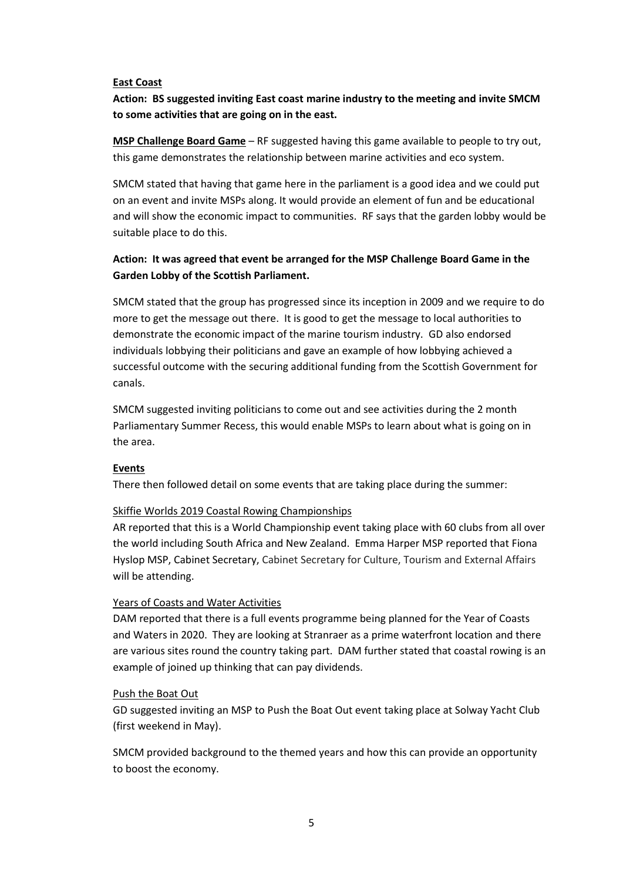#### **East Coast**

**Action: BS suggested inviting East coast marine industry to the meeting and invite SMCM to some activities that are going on in the east.**

**MSP Challenge Board Game** – RF suggested having this game available to people to try out, this game demonstrates the relationship between marine activities and eco system.

SMCM stated that having that game here in the parliament is a good idea and we could put on an event and invite MSPs along. It would provide an element of fun and be educational and will show the economic impact to communities. RF says that the garden lobby would be suitable place to do this.

# **Action: It was agreed that event be arranged for the MSP Challenge Board Game in the Garden Lobby of the Scottish Parliament.**

SMCM stated that the group has progressed since its inception in 2009 and we require to do more to get the message out there. It is good to get the message to local authorities to demonstrate the economic impact of the marine tourism industry. GD also endorsed individuals lobbying their politicians and gave an example of how lobbying achieved a successful outcome with the securing additional funding from the Scottish Government for canals.

SMCM suggested inviting politicians to come out and see activities during the 2 month Parliamentary Summer Recess, this would enable MSPs to learn about what is going on in the area.

#### **Events**

There then followed detail on some events that are taking place during the summer:

#### Skiffie Worlds 2019 Coastal Rowing Championships

AR reported that this is a World Championship event taking place with 60 clubs from all over the world including South Africa and New Zealand. Emma Harper MSP reported that Fiona Hyslop MSP, Cabinet Secretary, Cabinet Secretary for Culture, Tourism and External Affairs will be attending.

#### Years of Coasts and Water Activities

DAM reported that there is a full events programme being planned for the Year of Coasts and Waters in 2020. They are looking at Stranraer as a prime waterfront location and there are various sites round the country taking part. DAM further stated that coastal rowing is an example of joined up thinking that can pay dividends.

#### Push the Boat Out

GD suggested inviting an MSP to Push the Boat Out event taking place at Solway Yacht Club (first weekend in May).

SMCM provided background to the themed years and how this can provide an opportunity to boost the economy.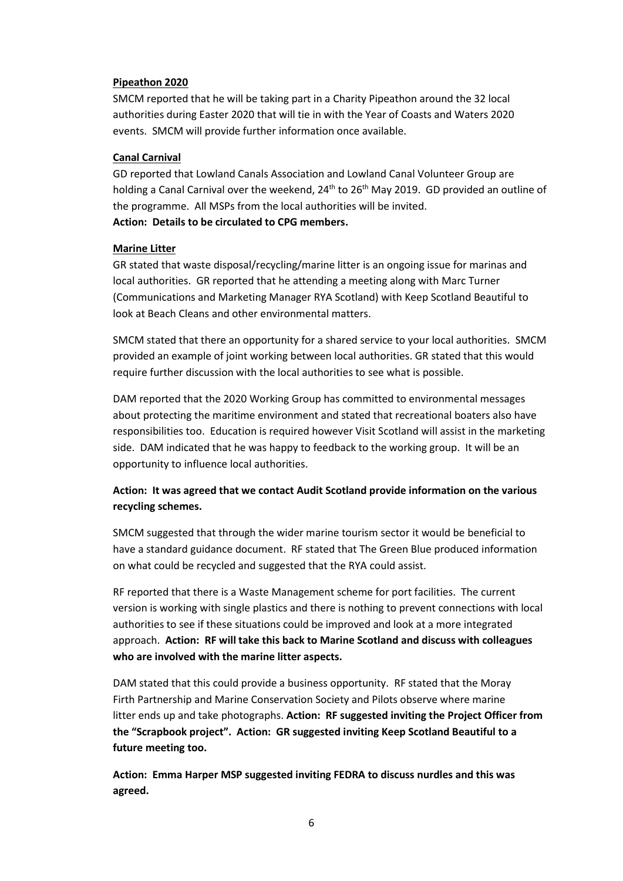#### **Pipeathon 2020**

SMCM reported that he will be taking part in a Charity Pipeathon around the 32 local authorities during Easter 2020 that will tie in with the Year of Coasts and Waters 2020 events. SMCM will provide further information once available.

#### **Canal Carnival**

GD reported that Lowland Canals Association and Lowland Canal Volunteer Group are holding a Canal Carnival over the weekend, 24<sup>th</sup> to 26<sup>th</sup> May 2019. GD provided an outline of the programme. All MSPs from the local authorities will be invited. **Action: Details to be circulated to CPG members.**

#### **Marine Litter**

GR stated that waste disposal/recycling/marine litter is an ongoing issue for marinas and local authorities. GR reported that he attending a meeting along with Marc Turner (Communications and Marketing Manager RYA Scotland) with Keep Scotland Beautiful to look at Beach Cleans and other environmental matters.

SMCM stated that there an opportunity for a shared service to your local authorities. SMCM provided an example of joint working between local authorities. GR stated that this would require further discussion with the local authorities to see what is possible.

DAM reported that the 2020 Working Group has committed to environmental messages about protecting the maritime environment and stated that recreational boaters also have responsibilities too. Education is required however Visit Scotland will assist in the marketing side. DAM indicated that he was happy to feedback to the working group. It will be an opportunity to influence local authorities.

# **Action: It was agreed that we contact Audit Scotland provide information on the various recycling schemes.**

SMCM suggested that through the wider marine tourism sector it would be beneficial to have a standard guidance document. RF stated that The Green Blue produced information on what could be recycled and suggested that the RYA could assist.

RF reported that there is a Waste Management scheme for port facilities. The current version is working with single plastics and there is nothing to prevent connections with local authorities to see if these situations could be improved and look at a more integrated approach. **Action: RF will take this back to Marine Scotland and discuss with colleagues who are involved with the marine litter aspects.**

DAM stated that this could provide a business opportunity. RF stated that the Moray Firth Partnership and Marine Conservation Society and Pilots observe where marine litter ends up and take photographs. **Action: RF suggested inviting the Project Officer from the "Scrapbook project". Action: GR suggested inviting Keep Scotland Beautiful to a future meeting too.**

**Action: Emma Harper MSP suggested inviting FEDRA to discuss nurdles and this was agreed.**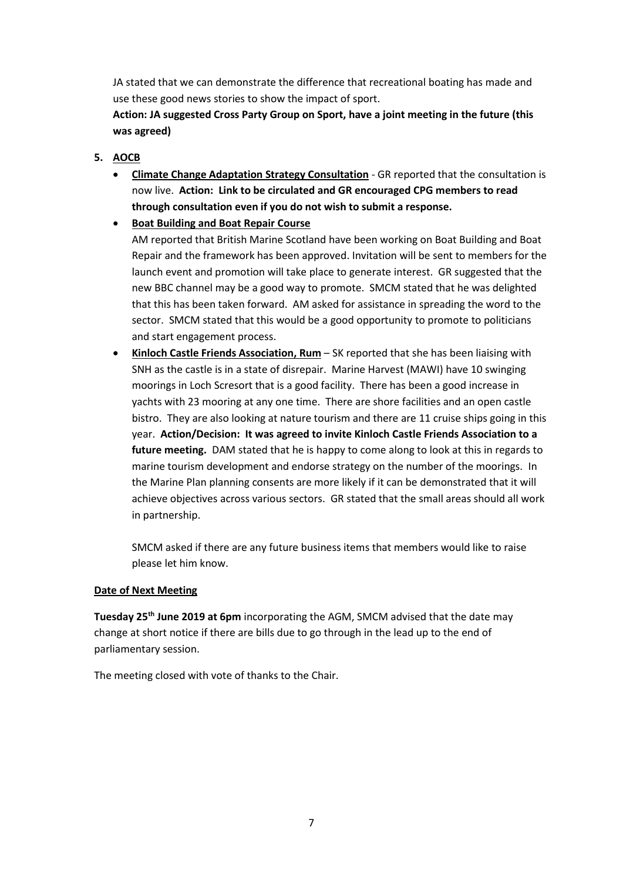JA stated that we can demonstrate the difference that recreational boating has made and use these good news stories to show the impact of sport.

**Action: JA suggested Cross Party Group on Sport, have a joint meeting in the future (this was agreed)**

- **5. AOCB**
	- **Climate Change Adaptation Strategy Consultation** GR reported that the consultation is now live. **Action: Link to be circulated and GR encouraged CPG members to read through consultation even if you do not wish to submit a response.**
	- **Boat Building and Boat Repair Course**

AM reported that British Marine Scotland have been working on Boat Building and Boat Repair and the framework has been approved. Invitation will be sent to members for the launch event and promotion will take place to generate interest. GR suggested that the new BBC channel may be a good way to promote. SMCM stated that he was delighted that this has been taken forward. AM asked for assistance in spreading the word to the sector. SMCM stated that this would be a good opportunity to promote to politicians and start engagement process.

 **Kinloch Castle Friends Association, Rum** – SK reported that she has been liaising with SNH as the castle is in a state of disrepair. Marine Harvest (MAWI) have 10 swinging moorings in Loch Scresort that is a good facility. There has been a good increase in yachts with 23 mooring at any one time. There are shore facilities and an open castle bistro. They are also looking at nature tourism and there are 11 cruise ships going in this year. **Action/Decision: It was agreed to invite Kinloch Castle Friends Association to a future meeting.** DAM stated that he is happy to come along to look at this in regards to marine tourism development and endorse strategy on the number of the moorings. In the Marine Plan planning consents are more likely if it can be demonstrated that it will achieve objectives across various sectors. GR stated that the small areas should all work in partnership.

SMCM asked if there are any future business items that members would like to raise please let him know.

#### **Date of Next Meeting**

**Tuesday 25th June 2019 at 6pm** incorporating the AGM, SMCM advised that the date may change at short notice if there are bills due to go through in the lead up to the end of parliamentary session.

The meeting closed with vote of thanks to the Chair.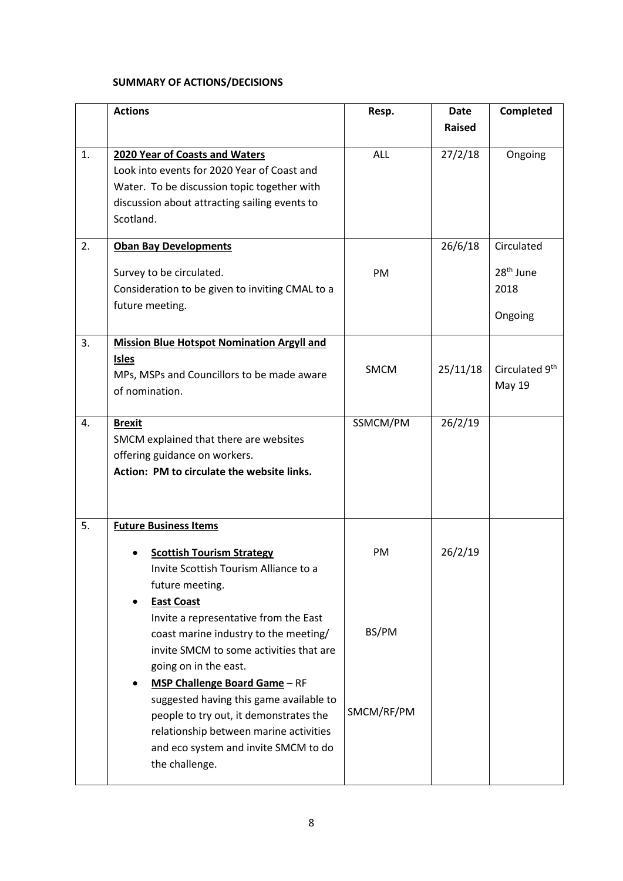# **SUMMARY OF ACTIONS/DECISIONS**

|    | <b>Actions</b>                                                                 | Resp.       | <b>Date</b> | Completed             |
|----|--------------------------------------------------------------------------------|-------------|-------------|-----------------------|
|    |                                                                                |             | Raised      |                       |
| 1. | 2020 Year of Coasts and Waters                                                 | <b>ALL</b>  | 27/2/18     | Ongoing               |
|    | Look into events for 2020 Year of Coast and                                    |             |             |                       |
|    | Water. To be discussion topic together with                                    |             |             |                       |
|    | discussion about attracting sailing events to                                  |             |             |                       |
|    | Scotland.                                                                      |             |             |                       |
| 2. | <b>Oban Bay Developments</b>                                                   |             | 26/6/18     | Circulated            |
|    | Survey to be circulated.                                                       | PM          |             | 28 <sup>th</sup> June |
|    | Consideration to be given to inviting CMAL to a                                |             |             | 2018                  |
|    | future meeting.                                                                |             |             |                       |
|    |                                                                                |             |             | Ongoing               |
| 3. | <b>Mission Blue Hotspot Nomination Argyll and</b>                              |             |             |                       |
|    | <b>Isles</b>                                                                   | <b>SMCM</b> | 25/11/18    | Circulated 9th        |
|    | MPs, MSPs and Councillors to be made aware                                     |             |             | <b>May 19</b>         |
|    | of nomination.                                                                 |             |             |                       |
| 4. | <b>Brexit</b>                                                                  | SSMCM/PM    | 26/2/19     |                       |
|    | SMCM explained that there are websites                                         |             |             |                       |
|    | offering guidance on workers.                                                  |             |             |                       |
|    | Action: PM to circulate the website links.                                     |             |             |                       |
|    |                                                                                |             |             |                       |
| 5. | <b>Future Business Items</b>                                                   |             |             |                       |
|    |                                                                                |             |             |                       |
|    | <b>Scottish Tourism Strategy</b>                                               | PM          | 26/2/19     |                       |
|    | Invite Scottish Tourism Alliance to a                                          |             |             |                       |
|    | future meeting.                                                                |             |             |                       |
|    | <b>East Coast</b>                                                              |             |             |                       |
|    | Invite a representative from the East<br>coast marine industry to the meeting/ | BS/PM       |             |                       |
|    | invite SMCM to some activities that are                                        |             |             |                       |
|    | going on in the east.                                                          |             |             |                       |
|    | MSP Challenge Board Game - RF<br>٠                                             |             |             |                       |
|    | suggested having this game available to                                        |             |             |                       |
|    | people to try out, it demonstrates the                                         | SMCM/RF/PM  |             |                       |
|    | relationship between marine activities                                         |             |             |                       |
|    | and eco system and invite SMCM to do                                           |             |             |                       |
|    | the challenge.                                                                 |             |             |                       |
|    |                                                                                |             |             |                       |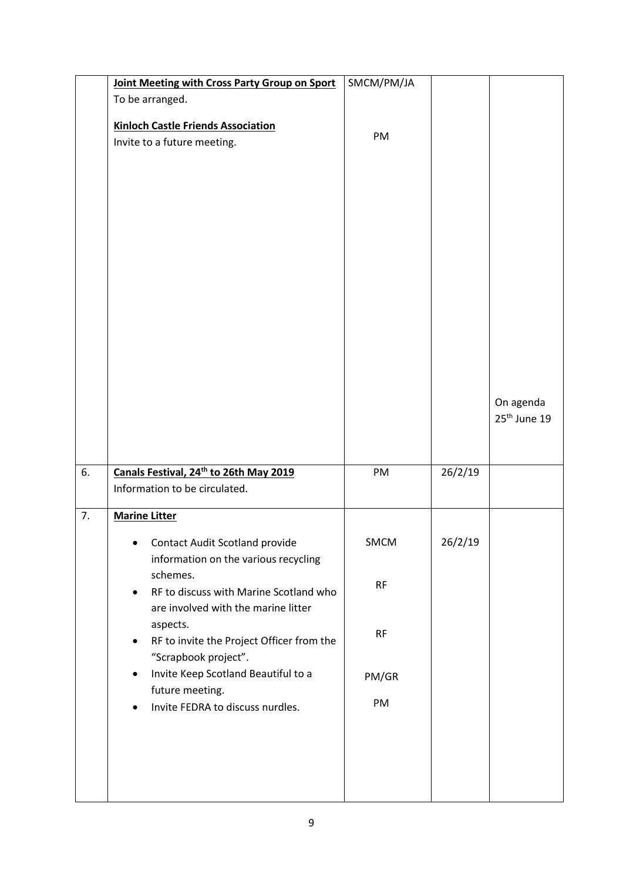|    | Joint Meeting with Cross Party Group on Sport                                                          | SMCM/PM/JA |         |                                       |
|----|--------------------------------------------------------------------------------------------------------|------------|---------|---------------------------------------|
|    | To be arranged.                                                                                        |            |         |                                       |
|    | <b>Kinloch Castle Friends Association</b><br>Invite to a future meeting.                               | PM         |         |                                       |
|    |                                                                                                        |            |         | On agenda<br>25 <sup>th</sup> June 19 |
| 6. | Canals Festival, 24 <sup>th</sup> to 26th May 2019<br>Information to be circulated.                    | PM         | 26/2/19 |                                       |
| 7. | <b>Marine Litter</b>                                                                                   |            |         |                                       |
|    | <b>Contact Audit Scotland provide</b><br>information on the various recycling                          | SMCM       | 26/2/19 |                                       |
|    | schemes.<br>RF to discuss with Marine Scotland who<br>$\bullet$<br>are involved with the marine litter | <b>RF</b>  |         |                                       |
|    | aspects.<br>RF to invite the Project Officer from the<br>$\bullet$<br>"Scrapbook project".             | RF         |         |                                       |
|    | Invite Keep Scotland Beautiful to a<br>$\bullet$                                                       | PM/GR      |         |                                       |
|    | future meeting.<br>Invite FEDRA to discuss nurdles.<br>٠                                               | PM         |         |                                       |
|    |                                                                                                        |            |         |                                       |